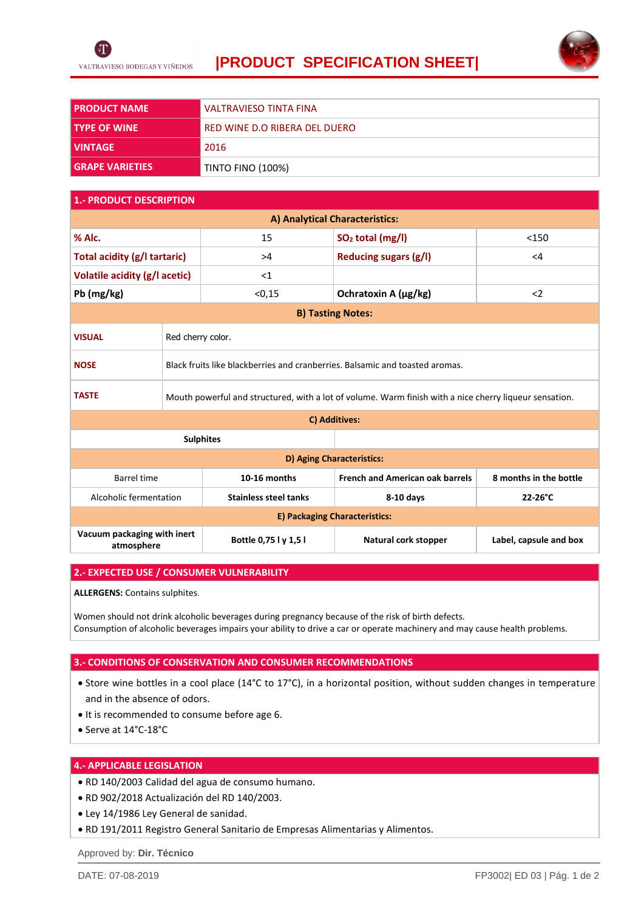

## **|PRODUCT SPECIFICATION SHEET|**



| <b>I PRODUCT NAME</b>  | VALTRAVIESO TINTA FINA        |
|------------------------|-------------------------------|
|                        |                               |
| l TYPE OF WINE         | RED WINE D.O RIBERA DEL DUERO |
| l VINTAGE              | 2016                          |
| <b>GRAPE VARIETIES</b> | <b>TINTO FINO (100%)</b>      |

### **1.- PRODUCT DESCRIPTION**

| A) Analytical Characteristics:            |                                                                                                        |                              |                                        |                        |  |
|-------------------------------------------|--------------------------------------------------------------------------------------------------------|------------------------------|----------------------------------------|------------------------|--|
| % Alc.                                    |                                                                                                        | 15                           | SO <sub>2</sub> total (mg/l)           | < 150                  |  |
| Total acidity (g/l tartaric)              |                                                                                                        | >4                           | <b>Reducing sugars (g/l)</b>           | $\leq$ 4               |  |
| Volatile acidity (g/l acetic)             |                                                                                                        | <1                           |                                        |                        |  |
| Pb (mg/kg)                                |                                                                                                        | < 0.15                       | Ochratoxin A (µg/kg)                   | $\langle$ 2            |  |
| <b>B) Tasting Notes:</b>                  |                                                                                                        |                              |                                        |                        |  |
| <b>VISUAL</b>                             | Red cherry color.                                                                                      |                              |                                        |                        |  |
| <b>NOSE</b>                               | Black fruits like blackberries and cranberries. Balsamic and toasted aromas.                           |                              |                                        |                        |  |
| <b>TASTE</b>                              | Mouth powerful and structured, with a lot of volume. Warm finish with a nice cherry liqueur sensation. |                              |                                        |                        |  |
| C) Additives:                             |                                                                                                        |                              |                                        |                        |  |
| <b>Sulphites</b>                          |                                                                                                        |                              |                                        |                        |  |
| D) Aging Characteristics:                 |                                                                                                        |                              |                                        |                        |  |
| <b>Barrel time</b>                        |                                                                                                        | 10-16 months                 | <b>French and American oak barrels</b> | 8 months in the bottle |  |
| Alcoholic fermentation                    |                                                                                                        | <b>Stainless steel tanks</b> | $8-10$ days                            | 22-26°C                |  |
| E) Packaging Characteristics:             |                                                                                                        |                              |                                        |                        |  |
| Vacuum packaging with inert<br>atmosphere |                                                                                                        | Bottle 0,75 l y 1,5 l        | Natural cork stopper                   | Label, capsule and box |  |

#### **2.- EXPECTED USE / CONSUMER VULNERABILITY**

**ALLERGENS:** Contains sulphites.

Women should not drink alcoholic beverages during pregnancy because of the risk of birth defects. Consumption of alcoholic beverages impairs your ability to drive a car or operate machinery and may cause health problems.

#### **3.- CONDITIONS OF CONSERVATION AND CONSUMER RECOMMENDATIONS**

- Store wine bottles in a cool place (14°C to 17°C), in a horizontal position, without sudden changes in temperature and in the absence of odors.
- It is recommended to consume before age 6.
- Serve at 14°C-18°C

### **4.- APPLICABLE LEGISLATION**

- RD 140/2003 Calidad del agua de consumo humano.
- RD 902/2018 Actualización del RD 140/2003.
- Ley 14/1986 Ley General de sanidad.
- RD 191/2011 Registro General Sanitario de Empresas Alimentarias y Alimentos.

Approved by: **Dir. Técnico**